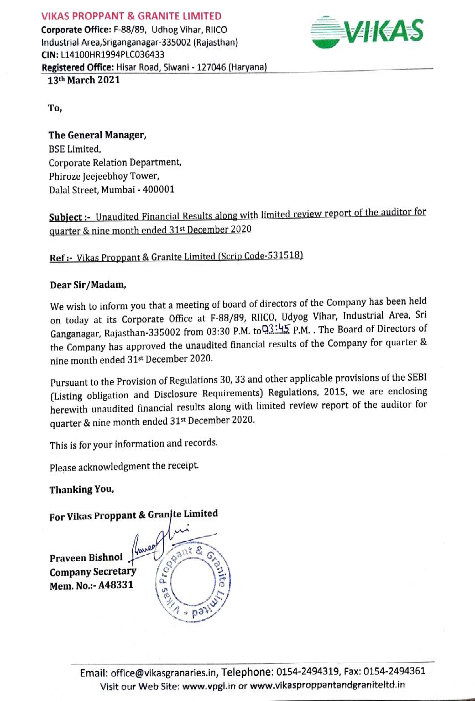#### VIKAS PROPPANT & GRANITE LIMITED

Corporate Office: F-88/89, Udhog Vihar, RIICO Corporate Office: F-88/89, Udhog Vihar, RIICO<br>Industrial Area,Sriganganagar-335002 (Rajasthan) CIN: L1410OHR1994PLCo36433 Registered Office: Hisar Road, Siwani - 127046 (Haryana)<br>13th March 2021



To,

The General Manager, BSE Limited, Corporate Relation Department, Phiroze Jeejeebhoy Tower, Dalal Street, Mumbai - 400001

# Subject :- Unaudited Financial Results along with limited review report of the auditor for quarter & nine month ended 31st December 2020

# Ref:- Vikas Proppant & Granite Limited (Scrip Code-531518)

### Dear Sir/Madam,

We wish to inform you that a meeting of board of directors of the Company has been held on today at its Corporate Office at F-88/89, RIICO, Udyog Vihar, Industrial Area, Sri Ganganagar, Rajasthan-335002 from 03:30 P.M. to 23: 45 P.M. . The Board of Directors of the Company has approved the unaudited financial results of the Company for quarter & nine month ended 31st December 2020.

Pursuant to the Provision of Regulations 30, 33 and other applicable provisions of the SEBI (Listing obligation and Disclosure Requirements) Regulations, 2015, we are enclosing herewith unaudited financial results along with limited review report of the auditor for quarter & nine month ended 31st December 2020.

This is for your information and records.

Please acknowledgment the receipt.

Thanking You,

## For Vikas Proppant & Granjte Limited

Praveen Bishnoi Company Secretary Mem. No.:- A48331

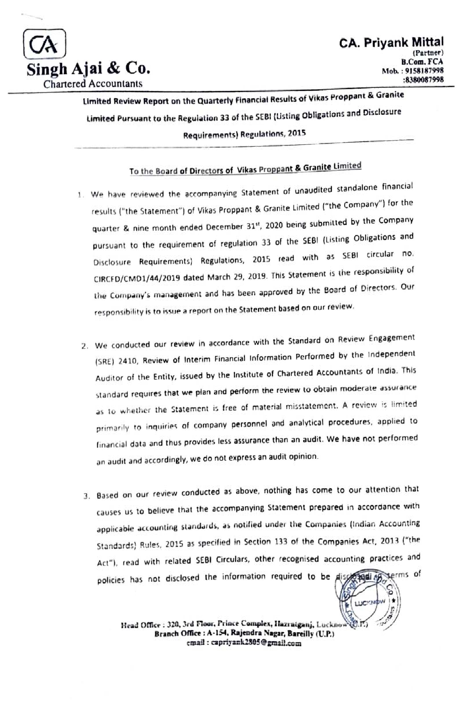

Limited Review Report on the Quarterty Financial Results of Vikas Proppant & Granite Limited Pursuant to the Reguiation 33 of the SEBI (Listing Obligations and Disclosure Requirements) Regulations, 2015

# To the Board of Directors of Vikas Proppant & Granite Limited

- .We have reviewed the accompanying Statement of unaudited standalone financial results ("the Statement") of Vikas Proppant & Granite Limited ("the Company") for the quarter & nine month ended December 31", 2020 being submitted by the Company pursuant to the requirement of regulation 33 of the SEBI (Listing Obligations and Disclosure Requirements) Regulations, 2015 read with as SEBI circular no. CIRCFD/CMD1/44/2019 dated March 29, 2019. This Statement is the responsibility of the Company's management and has been approved by the Board of Directors. Our responsibility is to issue a report on the Statement based on our review.
- 2. We conducted our review in accordance with the Standard on Review Engagement (SRE) 2410, Review of Interim Financial Information Performed by the Independent Auditor of the Entity, issued by the Institute of Chartered Accountants of India. This standard requires that we plan and perform the review to obtain moderate assurance as 1o whether the Statement is free of material misstatement. A review is limited primarily to inquiries of company personnel and analytical procedures, applied to financial data and thus provides less assurance than an audit. We have not performed an audit and accordingly, we do not express an audit opinion.
- 3. Based on our review conducted as above, nothing has come to our attention that causes us to believe that the accompanying Statement prepared in accordance with applicabie accounting standards, as notified under the Companies (tndian Accounting Standards) Rules, 2015 as specified in Section 133 of the Companies Act, 2013 ("the Act"), read with related SEBI Circulars, other recognised accounting practices and policies has not disclosed the information required to be discovered by terms of

LUCYNO w

Head Office : 320, 3rd Floor, Prince Complex, Hazratganj, Lucknow C.T. Branch Office: A-154, Rajendra Nagar, Bareilly (U.P.) emaid: capriyark2805@ graail.com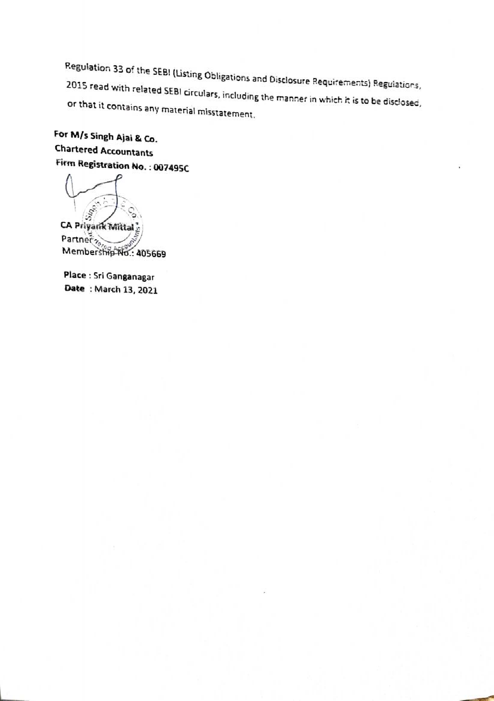Regulation 33 of the SEBI (Listing Obligations and Disclosure Requirements) Regulations,<br>2015 read with related SEBI circulars, including the manner in which it is to be disclosed,<br>or that it contains any material misstate

For M/s Singh Ajai & Co. Chartered Accountants Firm Registration No. : 007495C

CA Priyank Mittal Partner Members<del>hip No.:</del> 405669

Place : Sri Ganganagar Date : March 13, 2021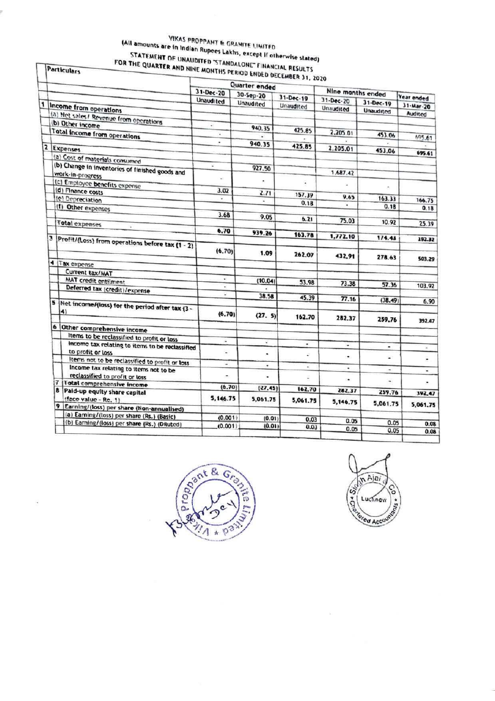# VIKAS PROPPANT & GRANITE LIMITED (All amounts are in Indian Rupees Lakhs, except if otherwise stated) STATEMENT OF UNAUDITED "STANDALONE" FINANCIAL RESULTS<br>FOR THE QUARTER AND NINE MONTHS PERIOD ENDED DECEMBER 31, 2020

Particulars

|   |                                                                          |                          | Quarter ended |                 |                   |                  |                          |
|---|--------------------------------------------------------------------------|--------------------------|---------------|-----------------|-------------------|------------------|--------------------------|
|   |                                                                          | 31-Dec-20<br>30-Sep-20   |               |                 | Nine months ended |                  |                          |
|   |                                                                          | Unaudited                | Unaudited     | $31 - Dec - 19$ | $31 - Dec - 20$   | 31-Dec-19        | <b>Year ended</b>        |
|   | Income from operations                                                   |                          |               | Unaudited       | Unaudited         | <b>Unaudited</b> | 31-Mar-20                |
|   | (a) Net sales / Revenue from operations                                  |                          |               |                 |                   |                  | <b>Audited</b>           |
|   | (b) Other income                                                         | ÷                        |               |                 |                   |                  |                          |
|   | Total income from operations                                             | ¥                        | 940.35        | 425.85          | 2,205.01          |                  |                          |
|   |                                                                          |                          |               |                 |                   | 453.06           | 695.61                   |
| 2 | <b>Expenses</b>                                                          | ٠                        | 940.35        | 425.85          | 2,205.01          |                  |                          |
|   |                                                                          |                          |               |                 |                   | 453.06           | 695.61                   |
|   | (a) Cost of materials consumed                                           |                          |               |                 |                   |                  |                          |
|   | (b) Change in inventories of finished goods and                          | ×                        | 927.50        |                 |                   |                  |                          |
|   | work-in-progress                                                         | ŵ.                       |               |                 | 1.687.42          |                  |                          |
|   | (c) Employee benefits expense                                            |                          |               | ä,              |                   |                  |                          |
|   | (d) Finance costs                                                        | 3.02                     | 2.71          |                 |                   | $\bullet$        |                          |
|   | (e) Depreciation                                                         |                          |               | 157.39          | 9.65              | 163.33           | 166,75                   |
| 3 | (f) Other expenses                                                       |                          |               | 0.18            |                   | 0.18             | 0.18                     |
|   |                                                                          | 3.68                     |               |                 |                   |                  |                          |
|   |                                                                          |                          | 9.05          | 6.21            | 75.03             | 10.92            |                          |
|   | <b>Total expenses</b>                                                    |                          |               |                 |                   |                  | 25.39                    |
|   |                                                                          | 6.70                     | 939.26        | 163.78          | 1,772.10          |                  |                          |
|   | Profit/(Loss) from operations before tax (1 - 2)                         |                          |               |                 |                   | 1/4.43           | 192.32                   |
|   |                                                                          | (6.70)                   | 1.09          | 262.07          | 432.91            | 278.63           | 503.29                   |
|   | 4 Tax expense                                                            |                          |               |                 |                   |                  |                          |
|   | Current tax/MAT                                                          |                          |               |                 |                   |                  |                          |
|   | MAT credit entilment                                                     | ÷                        | (10.04)       |                 |                   |                  |                          |
|   |                                                                          | ٠                        |               | 53.98           | 73.38             | 57.36            | 103.92                   |
|   | Deferred tax (credit)/expense                                            | ν                        | 38.58         |                 |                   |                  |                          |
| 5 |                                                                          |                          |               | 45.39           | 77.16             | (38.49)          | 6.90                     |
|   | Net income/(loss) for the period after tax (3 -<br>4)                    | (6.70)                   | (27.5)        | 162.70          | 282.37            | 259.76           | 392.47                   |
|   | 6 Other comprehensive income                                             |                          |               |                 |                   |                  |                          |
|   |                                                                          |                          |               |                 |                   |                  |                          |
|   | Items to be reclassified to profit or loss                               | $\overline{\phantom{a}}$ | Ξ             | ۰               |                   |                  |                          |
|   | income tax relating to items to be reclassified<br>to profit or loss     | $\blacksquare$           | ٠             | ¥               | ۰<br>٠            | ۰<br>W.          | $\overline{\phantom{a}}$ |
|   | Items not to be reclassified to profit or loss                           | $\blacksquare$           |               |                 |                   |                  |                          |
| 7 | Income tax relating to items not to be<br>reclassified to profit or loss | ۰                        | ٠<br>٠        | ٠<br>Ξ          | ٠                 | ۰                | ٠                        |
|   | <b>Total comprehensive income</b>                                        |                          |               |                 | ۰                 | ۰                |                          |
|   | 8 Paid-up equity share capital                                           | (6.70)                   | (27.45)       | 162,70          | 282,37            | 259.76           | 392.47                   |
|   | (face value - Re. 1)                                                     | 5,146.75                 | 5,061.75      | 5,061.75        | 5,146.75          | 5,061.75         | 5,061.75                 |
|   | 9 Earning/(loss) per share (Non-annualised)                              |                          |               |                 |                   |                  |                          |
|   | (a) Earning/(loss) per share (Rs.) (Basic)                               | (0.001)                  | (0.01)        | 0.03            |                   |                  |                          |
|   | (b) Earning/(loss) per share (Rs.) (Diluted)                             | (0.001)                  | (0.01)        | 0.03            | 0.05              | 0.05             | 0.08                     |
|   |                                                                          |                          |               |                 | 0.05              | 0.05             | 0.08                     |



Sim Alai

 $\leq$